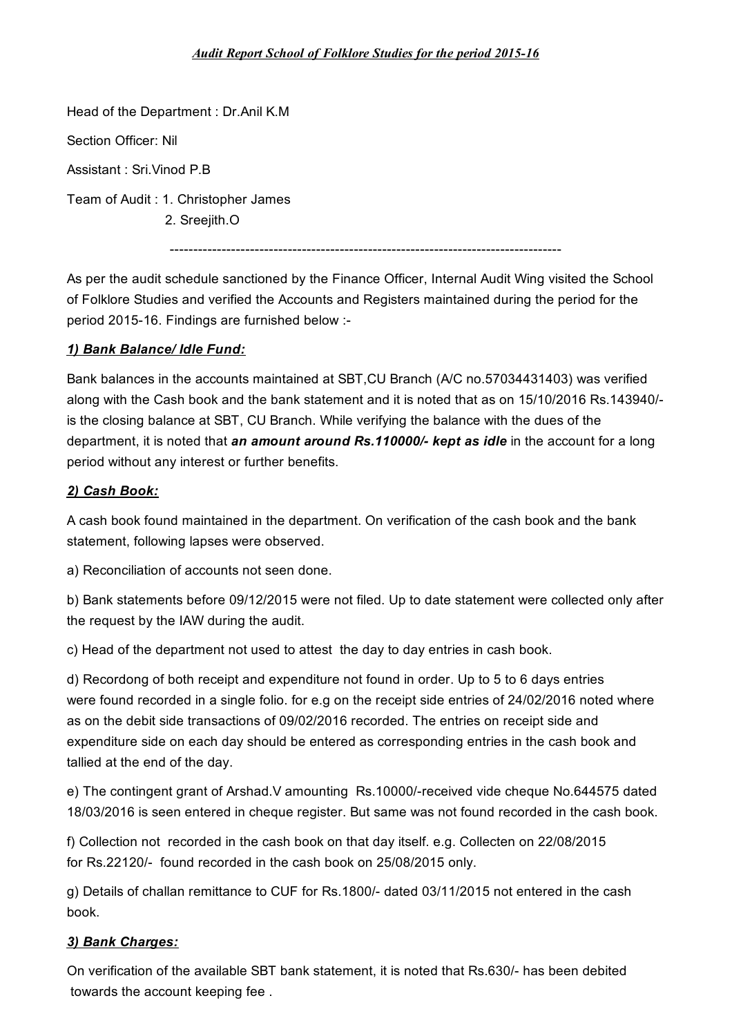#### *Audit Report School of Folklore Studies for the period 2015-16*

Head of the Department : Dr.Anil K.M Section Officer: Nil Assistant : Sri.Vinod P.B Team of Audit : 1. Christopher James 2. Sreejith.O -----------------------------------------------------------------------------------

As per the audit schedule sanctioned by the Finance Officer, Internal Audit Wing visited the School of Folklore Studies and verified the Accounts and Registers maintained during the period for the period 2015-16. Findings are furnished below :-

### *1) Bank Balance/ Idle Fund:*

Bank balances in the accounts maintained at SBT,CU Branch (A/C no.57034431403) was verified along with the Cash book and the bank statement and it is noted that as on 15/10/2016 Rs.143940/ is the closing balance at SBT, CU Branch. While verifying the balance with the dues of the department, it is noted that *an amount around Rs.110000/- kept as idle* in the account for a long period without any interest or further benefits.

#### *2) Cash Book:*

A cash book found maintained in the department. On verification of the cash book and the bank statement, following lapses were observed.

a) Reconciliation of accounts not seen done.

b) Bank statements before 09/12/2015 were not filed. Up to date statement were collected only after the request by the IAW during the audit.

c) Head of the department not used to attest the day to day entries in cash book.

d) Recordong of both receipt and expenditure not found in order. Up to 5 to 6 days entries were found recorded in a single folio. for e.g on the receipt side entries of 24/02/2016 noted where as on the debit side transactions of 09/02/2016 recorded. The entries on receipt side and expenditure side on each day should be entered as corresponding entries in the cash book and tallied at the end of the day.

e) The contingent grant of Arshad.V amounting Rs.10000/-received vide cheque No.644575 dated 18/03/2016 is seen entered in cheque register. But same was not found recorded in the cash book.

f) Collection not recorded in the cash book on that day itself. e.g. Collecten on 22/08/2015 for Rs.22120/- found recorded in the cash book on 25/08/2015 only.

g) Details of challan remittance to CUF for Rs.1800/- dated 03/11/2015 not entered in the cash book.

#### *3) Bank Charges:*

On verification of the available SBT bank statement, it is noted that Rs.630/- has been debited towards the account keeping fee .